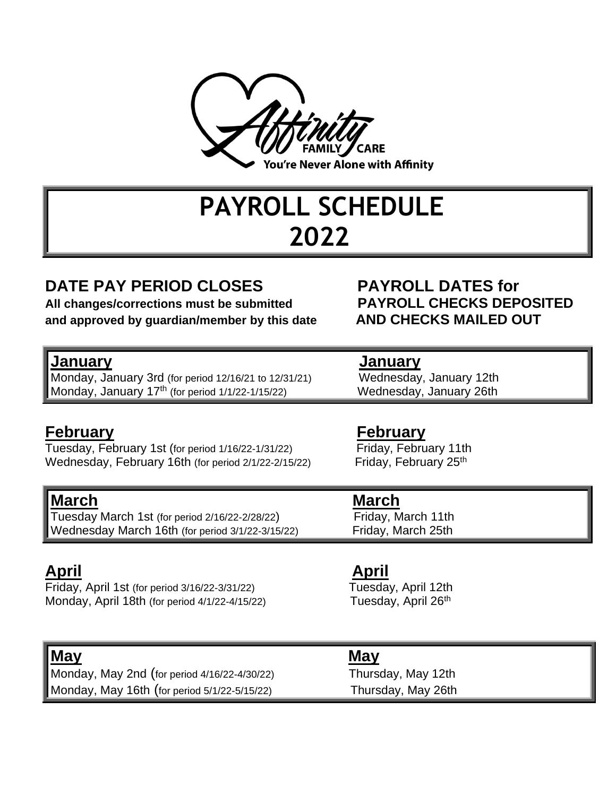

## **PAYROLL SCHEDULE 2022**

### **DATE PAY PERIOD CLOSES PAYROLL DATES for**

**All changes/corrections must be submitted PAYROLL CHECKS DEPOSITED and approved by guardian/member by this date AND CHECKS MAILED OUT**

**January January** Monday, January 3rd (for period 12/16/21 to 12/31/21) Monday, January 17<sup>th</sup> (for period 1/1/22-1/15/22) Wednesday, January 26th

Tuesday, February 1st (for period 1/16/22-1/31/22) Friday, February 11th Wednesday, February 16th (for period  $2/1/22-2/15/22$ ) Friday, February  $25<sup>th</sup>$ 

### **March March**

Tuesday March 1st (for period 2/16/22-2/28/22) Friday, March 11th Wednesday March 16th (for period 3/1/22-3/15/22) Friday, March 25th

### **April April**

Friday, April 1st (for period 3/16/22-3/31/22) Tuesday, April 12th Monday, April 18th (for period 4/1/22-4/15/22) Tuesday, April 26<sup>th</sup>

### **May May**

Monday, May 2nd (for period 4/16/22-4/30/22) Thursday, May 12th Monday, May 16th (for period 5/1/22-5/15/22) Thursday, May 26th

### **February February**